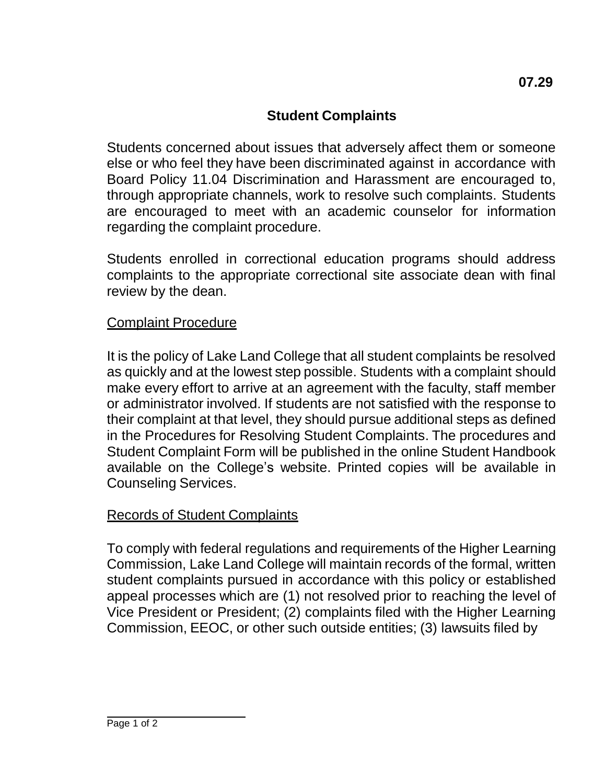## **Student Complaints**

Students concerned about issues that adversely affect them or someone else or who feel they have been discriminated against in accordance with Board Policy 11.04 Discrimination and Harassment are encouraged to, through appropriate channels, work to resolve such complaints. Students are encouraged to meet with an academic counselor for information regarding the complaint procedure.

Students enrolled in correctional education programs should address complaints to the appropriate correctional site associate dean with final review by the dean.

## Complaint Procedure

It is the policy of Lake Land College that all student complaints be resolved as quickly and at the lowest step possible. Students with a complaint should make every effort to arrive at an agreement with the faculty, staff member or administrator involved. If students are not satisfied with the response to their complaint at that level, they should pursue additional steps as defined in the Procedures for Resolving Student Complaints. The procedures and Student Complaint Form will be published in the online Student Handbook available on the College's website. Printed copies will be available in Counseling Services.

## Records of Student Complaints

To comply with federal regulations and requirements of the Higher Learning Commission, Lake Land College will maintain records of the formal, written student complaints pursued in accordance with this policy or established appeal processes which are (1) not resolved prior to reaching the level of Vice President or President; (2) complaints filed with the Higher Learning Commission, EEOC, or other such outside entities; (3) lawsuits filed by